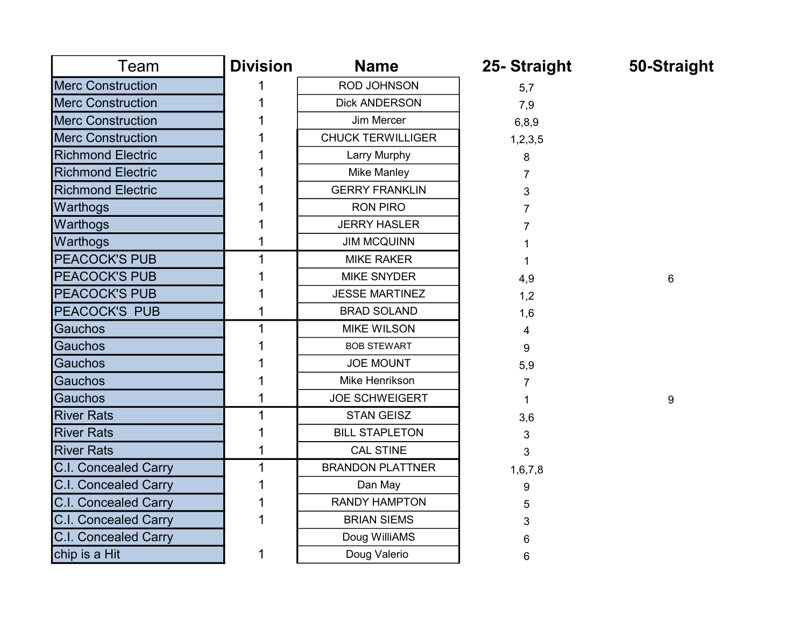| Team                        | <b>Division</b> | <b>Name</b>              | 25- Straight | 50-Straight |
|-----------------------------|-----------------|--------------------------|--------------|-------------|
| <b>Merc Construction</b>    |                 | <b>ROD JOHNSON</b>       | 5,7          |             |
| <b>Merc Construction</b>    |                 | <b>Dick ANDERSON</b>     | 7,9          |             |
| <b>Merc Construction</b>    |                 | Jim Mercer               | 6,8,9        |             |
| <b>Merc Construction</b>    |                 | <b>CHUCK TERWILLIGER</b> | 1,2,3,5      |             |
| <b>Richmond Electric</b>    |                 | Larry Murphy             | 8            |             |
| <b>Richmond Electric</b>    |                 | <b>Mike Manley</b>       |              |             |
| <b>Richmond Electric</b>    |                 | <b>GERRY FRANKLIN</b>    | 3            |             |
| Warthogs                    |                 | <b>RON PIRO</b>          |              |             |
| Warthogs                    |                 | <b>JERRY HASLER</b>      |              |             |
| Warthogs                    |                 | <b>JIM MCQUINN</b>       |              |             |
| PEACOCK'S PUB               |                 | <b>MIKE RAKER</b>        |              |             |
| <b>PEACOCK'S PUB</b>        |                 | <b>MIKE SNYDER</b>       | 4,9          | 6           |
| <b>PEACOCK'S PUB</b>        |                 | <b>JESSE MARTINEZ</b>    | 1,2          |             |
| PEACOCK'S PUB               |                 | <b>BRAD SOLAND</b>       | 1,6          |             |
| <b>Gauchos</b>              |                 | <b>MIKE WILSON</b>       | 4            |             |
| <b>Gauchos</b>              |                 | <b>BOB STEWART</b>       | 9            |             |
| <b>Gauchos</b>              |                 | <b>JOE MOUNT</b>         | 5,9          |             |
| Gauchos                     |                 | Mike Henrikson           | 7            |             |
| Gauchos                     |                 | <b>JOE SCHWEIGERT</b>    | 1            | 9           |
| <b>River Rats</b>           |                 | <b>STAN GEISZ</b>        | 3,6          |             |
| <b>River Rats</b>           |                 | <b>BILL STAPLETON</b>    | 3            |             |
| <b>River Rats</b>           |                 | <b>CAL STINE</b>         | 3            |             |
| <b>C.I. Concealed Carry</b> |                 | <b>BRANDON PLATTNER</b>  | 1,6,7,8      |             |
| <b>C.I. Concealed Carry</b> |                 | Dan May                  | 9            |             |
| <b>C.I. Concealed Carry</b> |                 | <b>RANDY HAMPTON</b>     | 5            |             |
| <b>C.I. Concealed Carry</b> |                 | <b>BRIAN SIEMS</b>       | 3            |             |
| <b>C.I. Concealed Carry</b> |                 | Doug WilliAMS            | 6            |             |
| chip is a Hit               |                 | Doug Valerio             | 6            |             |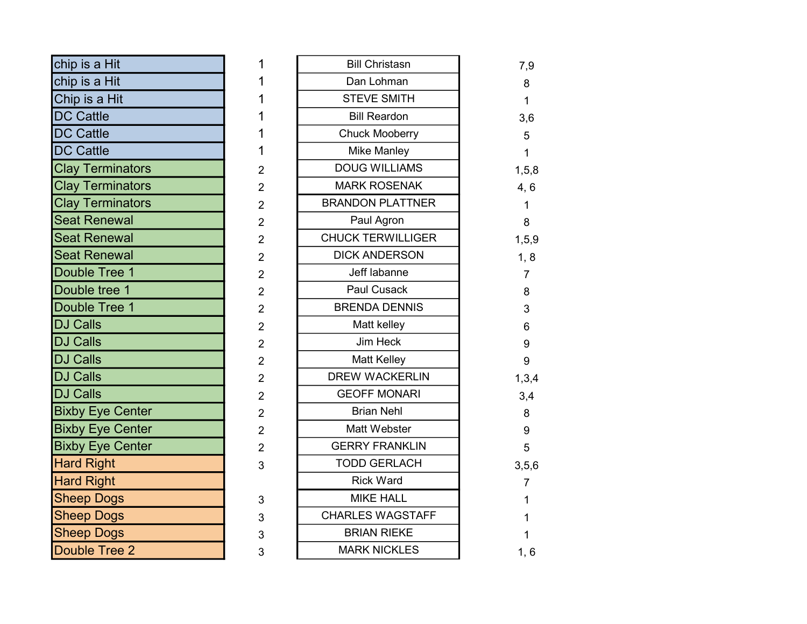| chip is a Hit           |  |
|-------------------------|--|
| chip is a Hit           |  |
| Chip is a Hit           |  |
| <b>DC Cattle</b>        |  |
| <b>DC Cattle</b>        |  |
| <b>DC Cattle</b>        |  |
| <b>Clay Terminators</b> |  |
| <b>Clay Terminators</b> |  |
| <b>Clay Terminators</b> |  |
| <b>Seat Renewal</b>     |  |
| <b>Seat Renewal</b>     |  |
| <b>Seat Renewal</b>     |  |
| Double Tree 1           |  |
| Double tree 1           |  |
| Double Tree 1           |  |
| <b>DJ Calls</b>         |  |
| <b>DJ Calls</b>         |  |
| <b>DJ Calls</b>         |  |
| <b>DJ Calls</b>         |  |
| <b>DJ Calls</b>         |  |
| <b>Bixby Eye Center</b> |  |
| <b>Bixby Eye Center</b> |  |
| <b>Bixby Eye Center</b> |  |
| <b>Hard Right</b>       |  |
| <b>Hard Right</b>       |  |
| <b>Sheep Dogs</b>       |  |
| <b>Sheep Dogs</b>       |  |
| <b>Sheep Dogs</b>       |  |
| Double Tree 2           |  |

| chip is a Hit           | 1              | <b>Bill Christasn</b>    | 7,9            |
|-------------------------|----------------|--------------------------|----------------|
| chip is a Hit           |                | Dan Lohman               | 8              |
| Chip is a Hit           |                | <b>STEVE SMITH</b>       | 1              |
| <b>DC Cattle</b>        |                | <b>Bill Reardon</b>      | 3,6            |
| <b>DC Cattle</b>        |                | <b>Chuck Mooberry</b>    | 5              |
| <b>DC Cattle</b>        | 1              | <b>Mike Manley</b>       | 1              |
| <b>Clay Terminators</b> | $\overline{2}$ | <b>DOUG WILLIAMS</b>     | 1, 5, 8        |
| <b>Clay Terminators</b> | $\overline{2}$ | <b>MARK ROSENAK</b>      | 4, 6           |
| <b>Clay Terminators</b> | $\overline{2}$ | <b>BRANDON PLATTNER</b>  | 1              |
| <b>Seat Renewal</b>     | $\overline{2}$ | Paul Agron               | 8              |
| <b>Seat Renewal</b>     | $\overline{2}$ | <b>CHUCK TERWILLIGER</b> | 1, 5, 9        |
| <b>Seat Renewal</b>     | $\overline{2}$ | <b>DICK ANDERSON</b>     | 1, 8           |
| Double Tree 1           | $\overline{2}$ | Jeff labanne             | $\overline{7}$ |
| Double tree 1           | $\overline{2}$ | Paul Cusack              | 8              |
| Double Tree 1           | $\overline{2}$ | <b>BRENDA DENNIS</b>     | 3              |
| <b>DJ Calls</b>         | $\overline{2}$ | Matt kelley              | 6              |
| <b>DJ Calls</b>         | $\overline{2}$ | Jim Heck                 | 9              |
| <b>DJ Calls</b>         | $\overline{2}$ | <b>Matt Kelley</b>       | 9              |
| <b>DJ Calls</b>         | $\overline{2}$ | <b>DREW WACKERLIN</b>    | 1,3,4          |
| <b>DJ Calls</b>         | $\overline{2}$ | <b>GEOFF MONARI</b>      | 3,4            |
| <b>Bixby Eye Center</b> | $\overline{2}$ | <b>Brian Nehl</b>        | 8              |
| <b>Bixby Eye Center</b> | $\overline{2}$ | Matt Webster             | 9              |
| <b>Bixby Eye Center</b> | $\overline{2}$ | <b>GERRY FRANKLIN</b>    | 5              |
| <b>Hard Right</b>       | 3              | <b>TODD GERLACH</b>      | 3, 5, 6        |
| <b>Hard Right</b>       |                | <b>Rick Ward</b>         | 7              |
| <b>Sheep Dogs</b>       | 3              | <b>MIKE HALL</b>         |                |
| <b>Sheep Dogs</b>       | 3              | <b>CHARLES WAGSTAFF</b>  |                |
| <b>Sheep Dogs</b>       | 3              | <b>BRIAN RIEKE</b>       |                |
| Double Tree 2           | 3              | <b>MARK NICKLES</b>      | 1, 6           |